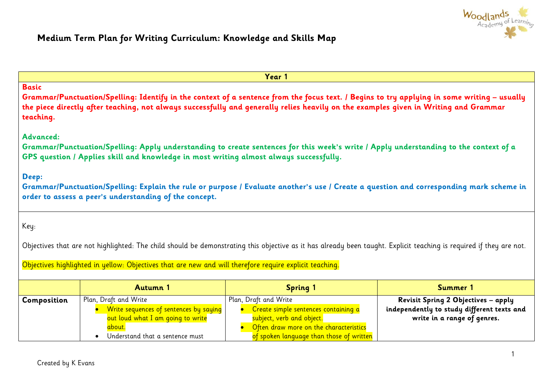

# **Medium Term Plan for Writing Curriculum: Knowledge and Skills Map**

| Year 1                                                                                                                                                                                                                                                                                                           |                                                                                                                                                   |                                                                                                                                                                                                            |                                                                                                                  |  |  |  |
|------------------------------------------------------------------------------------------------------------------------------------------------------------------------------------------------------------------------------------------------------------------------------------------------------------------|---------------------------------------------------------------------------------------------------------------------------------------------------|------------------------------------------------------------------------------------------------------------------------------------------------------------------------------------------------------------|------------------------------------------------------------------------------------------------------------------|--|--|--|
| <b>Basic</b><br>Grammar/Punctuation/Spelling: Identify in the context of a sentence from the focus text. / Begins to try applying in some writing – usually<br>the piece directly after teaching, not always successfully and generally relies heavily on the examples given in Writing and Grammar<br>teaching. |                                                                                                                                                   |                                                                                                                                                                                                            |                                                                                                                  |  |  |  |
| <b>Advanced:</b><br>Grammar/Punctuation/Spelling: Apply understanding to create sentences for this week's write / Apply understanding to the context of a<br>GPS question / Applies skill and knowledge in most writing almost always successfully.                                                              |                                                                                                                                                   |                                                                                                                                                                                                            |                                                                                                                  |  |  |  |
| Deep:<br>Grammar/Punctuation/Spelling: Explain the rule or purpose / Evaluate another's use / Create a question and corresponding mark scheme in<br>order to assess a peer's understanding of the concept.                                                                                                       |                                                                                                                                                   |                                                                                                                                                                                                            |                                                                                                                  |  |  |  |
| Key:                                                                                                                                                                                                                                                                                                             |                                                                                                                                                   |                                                                                                                                                                                                            |                                                                                                                  |  |  |  |
|                                                                                                                                                                                                                                                                                                                  |                                                                                                                                                   | Objectives that are not highlighted: The child should be demonstrating this objective as it has already been taught. Explicit teaching is required if they are not.                                        |                                                                                                                  |  |  |  |
| Objectives highlighted in yellow: Objectives that are new and will therefore require explicit teaching.                                                                                                                                                                                                          |                                                                                                                                                   |                                                                                                                                                                                                            |                                                                                                                  |  |  |  |
|                                                                                                                                                                                                                                                                                                                  | Autumn 1<br><b>Spring 1</b><br>Summer 1                                                                                                           |                                                                                                                                                                                                            |                                                                                                                  |  |  |  |
| Composition                                                                                                                                                                                                                                                                                                      | Plan, Draft and Write<br>Write sequences of sentences by saying<br>out loud what I am going to write<br>about.<br>Understand that a sentence must | Plan, Draft and Write<br>Create simple sentences containing a<br>$\bullet$<br>subject, verb and object.<br>Often draw more on the characteristics<br>$\bullet$<br>of spoken language than those of written | Revisit Spring 2 Objectives - apply<br>independently to study different texts and<br>write in a range of genres. |  |  |  |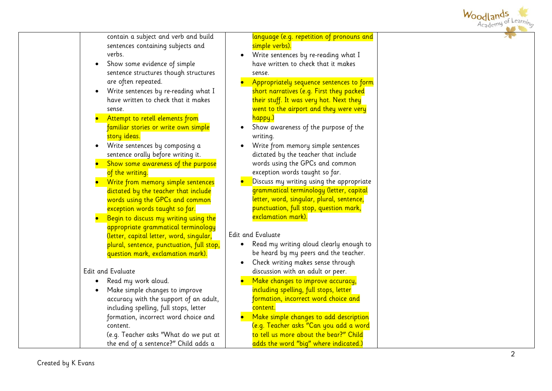

contain a subject and verb and build sentences containing subjects and verbs.

- Show some evidence of simple sentence structures though structures are often repeated.
- Write sentences by re-reading what I have written to check that it makes sense.
- Attempt to retell elements from familiar stories or write own simple story ideas.
- Write sentences by composing a sentence orally before writing it.
- Show some awareness of the purpose of the writing.
- **•** Write from memory simple sentences dictated by the teacher that include words using the GPCs and common exception words taught so far.
- $\bullet$  Begin to discuss my writing using the appropriate grammatical terminology (letter, capital letter, word, singular, plural, sentence, punctuation, full stop, question mark, exclamation mark).

#### Edit and Evaluate

- Read my work aloud.
- Make simple changes to improve accuracy with the support of an adult, including spelling, full stops, letter formation, incorrect word choice and content.

(e.g. Teacher asks "What do we put at the end of a sentence?" Child adds a

language (e.g. repetition of pronouns and simple verbs).

- $\bullet$  Write sentences by re-reading what I have written to check that it makes sense.
- Appropriately sequence sentences to form short narratives (e.g. First they packed their stuff. It was very hot. Next they went to the airport and they were very happy.)
- Show awareness of the purpose of the writing.
- Write from memory simple sentences dictated by the teacher that include words using the GPCs and common exception words taught so far.
- Discuss my writing using the appropriate grammatical terminology (letter, capital letter, word, singular, plural, sentence, punctuation, full stop, question mark, exclamation mark).

#### Edit and Evaluate

- Read my writing aloud clearly enough to be heard by my peers and the teacher.
- Check writing makes sense through discussion with an adult or peer.
- Make changes to improve accuracy, including spelling, full stops, letter formation, incorrect word choice and content.
- Make simple changes to add description (e.g. Teacher asks "Can you add a word to tell us more about the bear?" Child adds the word "big" where indicated.)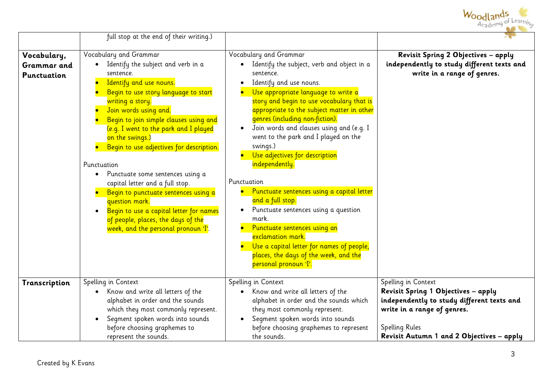

|                                           | full stop at the end of their writing.)                                                                                                                                                                                                                                                                                                                                                                                                                                                                                                                                                                                                       |                                                                                                                                                                                                                                                                                                                                                                                                                                                                                                                                                                                                                                                                                                                                                                                    |                                                                                                                                                                                                               |
|-------------------------------------------|-----------------------------------------------------------------------------------------------------------------------------------------------------------------------------------------------------------------------------------------------------------------------------------------------------------------------------------------------------------------------------------------------------------------------------------------------------------------------------------------------------------------------------------------------------------------------------------------------------------------------------------------------|------------------------------------------------------------------------------------------------------------------------------------------------------------------------------------------------------------------------------------------------------------------------------------------------------------------------------------------------------------------------------------------------------------------------------------------------------------------------------------------------------------------------------------------------------------------------------------------------------------------------------------------------------------------------------------------------------------------------------------------------------------------------------------|---------------------------------------------------------------------------------------------------------------------------------------------------------------------------------------------------------------|
| Vocabulary,<br>Grammar and<br>Punctuation | Vocabulary and Grammar<br>Identify the subject and verb in a<br>sentence.<br>Identify and use nouns.<br>Begin to use story language to start<br>writing a story.<br>Join words using and.<br>Begin to join simple clauses using and<br>(e.g. I went to the park and I played<br>on the swings.)<br>Begin to use adjectives for description.<br>Punctuation<br>Punctuate some sentences using a<br>$\bullet$<br>capital letter and a full stop.<br>Begin to punctuate sentences using a<br>question mark.<br>Begin to use a capital letter for names<br>$\bullet$<br>of people, places, the days of the<br>week, and the personal pronoun 'I'. | Vocabulary and Grammar<br>Identify the subject, verb and object in a<br>$\bullet$<br>sentence.<br>Identify and use nouns.<br>Use appropriate language to write a<br>story and begin to use vocabulary that is<br>appropriate to the subject matter in other<br>genres (including non-fiction).<br>Join words and clauses using and (e.g. I<br>$\bullet$<br>went to the park and I played on the<br>swings.)<br>Use adjectives for description<br>independently.<br>Punctuation<br>Punctuate sentences using a capital letter<br>and a full stop.<br>Punctuate sentences using a question<br>$\bullet$<br>mark.<br>Punctuate sentences using an<br>exclamation mark.<br>Use a capital letter for names of people,<br>places, the days of the week, and the<br>personal pronoun 'I'. | Revisit Spring 2 Objectives - apply<br>independently to study different texts and<br>write in a range of genres.                                                                                              |
| Transcription                             | Spelling in Context<br>Know and write all letters of the<br>alphabet in order and the sounds<br>which they most commonly represent.<br>Segment spoken words into sounds<br>$\bullet$<br>before choosing graphemes to<br>represent the sounds.                                                                                                                                                                                                                                                                                                                                                                                                 | Spelling in Context<br>Know and write all letters of the<br>alphabet in order and the sounds which<br>they most commonly represent.<br>Segment spoken words into sounds<br>$\bullet$<br>before choosing graphemes to represent<br>the sounds.                                                                                                                                                                                                                                                                                                                                                                                                                                                                                                                                      | Spelling in Context<br>Revisit Spring 1 Objectives - apply<br>independently to study different texts and<br>write in a range of genres.<br><b>Spelling Rules</b><br>Revisit Autumn 1 and 2 Objectives - apply |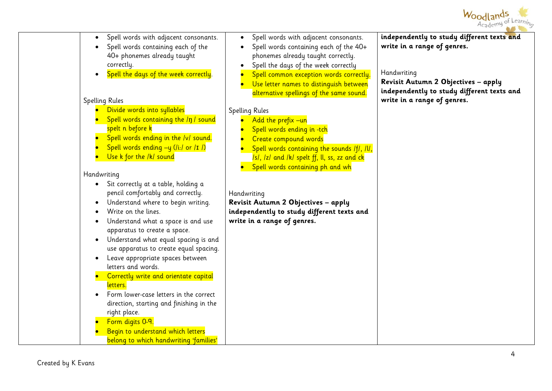

- Spell words with adjacent consonants.
- Spell words containing each of the 40+ phonemes already taught correctly.
- Spell the days of the week correctly.

#### Spelling Rules

- **•** Divide words into syllables
- Spell words containing the  $/\eta$  / sound spelt n before k
- Spell words ending in the /v/ sound.
- Spell words ending  $-y$  (/i:/ or /I /)
- Use k for the /k/ sound

#### Handwriting

- Sit correctly at a table, holding a pencil comfortably and correctly.
- Understand where to begin writing.
- Write on the lines.
- Understand what a space is and use apparatus to create a space.
- Understand what equal spacing is and use apparatus to create equal spacing.
- Leave appropriate spaces between letters and words.
- **•** Correctly write and orientate capital letters.
- Form lower-case letters in the correct direction, starting and finishing in the right place.
- Form digits 0-9.
	- Begin to understand which letters belong to which handwriting 'families'
- Spell words with adjacent consonants.
- Spell words containing each of the 40+ phonemes already taught correctly.
- Spell the days of the week correctly
- Spell common exception words correctly.
- Use letter names to distinguish between alternative spellings of the same sound.

#### Spelling Rules

- Add the prefix –un
- Spell words ending in -tch
- Create compound words
- Spell words containing the sounds /f/, /l/,
- /s/, /z/ and /k/ spelt ff, ll, ss, zz and ck
- Spell words containing ph and wh

#### Handwriting

**Revisit Autumn 2 Objectives – apply independently to study different texts and write in a range of genres.**

**independently to study different texts and write in a range of genres.**

#### Handwriting

**Revisit Autumn 2 Objectives – apply independently to study different texts and write in a range of genres.**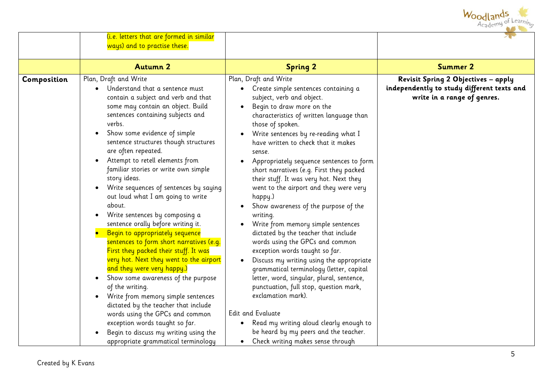

|             | (i.e. letters that are formed in similar<br>ways) and to practise these.                                                                                                                                                                                                                                                                                                                                                                                                                                                                                                                                                                                                                                                                                                                                                                                                                                                                                                                                                                     |                                                                                                                                                                                                                                                                                                                                                                                                                                                                                                                                                                                                                                                                                                                                                                                                                                                                                                                                                                                                                                      | $\mathbf{z}$                                                                                                     |
|-------------|----------------------------------------------------------------------------------------------------------------------------------------------------------------------------------------------------------------------------------------------------------------------------------------------------------------------------------------------------------------------------------------------------------------------------------------------------------------------------------------------------------------------------------------------------------------------------------------------------------------------------------------------------------------------------------------------------------------------------------------------------------------------------------------------------------------------------------------------------------------------------------------------------------------------------------------------------------------------------------------------------------------------------------------------|--------------------------------------------------------------------------------------------------------------------------------------------------------------------------------------------------------------------------------------------------------------------------------------------------------------------------------------------------------------------------------------------------------------------------------------------------------------------------------------------------------------------------------------------------------------------------------------------------------------------------------------------------------------------------------------------------------------------------------------------------------------------------------------------------------------------------------------------------------------------------------------------------------------------------------------------------------------------------------------------------------------------------------------|------------------------------------------------------------------------------------------------------------------|
|             |                                                                                                                                                                                                                                                                                                                                                                                                                                                                                                                                                                                                                                                                                                                                                                                                                                                                                                                                                                                                                                              |                                                                                                                                                                                                                                                                                                                                                                                                                                                                                                                                                                                                                                                                                                                                                                                                                                                                                                                                                                                                                                      |                                                                                                                  |
|             | <b>Autumn 2</b>                                                                                                                                                                                                                                                                                                                                                                                                                                                                                                                                                                                                                                                                                                                                                                                                                                                                                                                                                                                                                              | <b>Spring 2</b>                                                                                                                                                                                                                                                                                                                                                                                                                                                                                                                                                                                                                                                                                                                                                                                                                                                                                                                                                                                                                      | <b>Summer 2</b>                                                                                                  |
| Composition | Plan, Draft and Write<br>Understand that a sentence must<br>contain a subject and verb and that<br>some may contain an object. Build<br>sentences containing subjects and<br>verbs.<br>Show some evidence of simple<br>sentence structures though structures<br>are often repeated.<br>Attempt to retell elements from<br>familiar stories or write own simple<br>story ideas.<br>Write sequences of sentences by saying<br>out loud what I am going to write<br>about.<br>Write sentences by composing a<br>sentence orally before writing it.<br>Begin to appropriately sequence<br>sentences to form short narratives (e.g.<br>First they packed their stuff. It was<br>very hot. Next they went to the airport<br>and they were very happy.)<br>Show some awareness of the purpose<br>of the writing.<br>Write from memory simple sentences<br>dictated by the teacher that include<br>words using the GPCs and common<br>exception words taught so far.<br>Begin to discuss my writing using the<br>appropriate grammatical terminology | Plan, Draft and Write<br>Create simple sentences containing a<br>subject, verb and object.<br>Begin to draw more on the<br>characteristics of written language than<br>those of spoken.<br>Write sentences by re-reading what I<br>have written to check that it makes<br>sense.<br>Appropriately sequence sentences to form<br>short narratives (e.g. First they packed<br>their stuff. It was very hot. Next they<br>went to the airport and they were very<br>happy.)<br>Show awareness of the purpose of the<br>writing.<br>Write from memory simple sentences<br>dictated by the teacher that include<br>words using the GPCs and common<br>exception words taught so far.<br>Discuss my writing using the appropriate<br>grammatical terminology (letter, capital<br>letter, word, singular, plural, sentence,<br>punctuation, full stop, question mark,<br>exclamation mark).<br>Edit and Evaluate<br>• Read my writing aloud clearly enough to<br>be heard by my peers and the teacher.<br>Check writing makes sense through | Revisit Spring 2 Objectives - apply<br>independently to study different texts and<br>write in a range of genres. |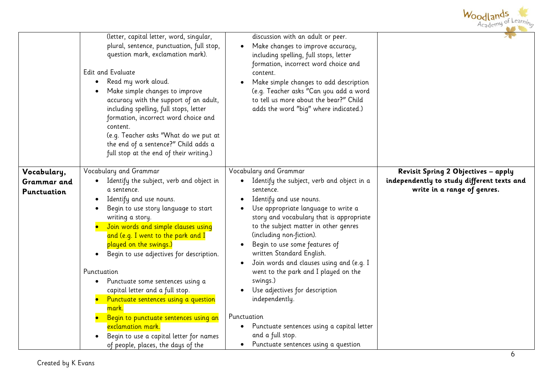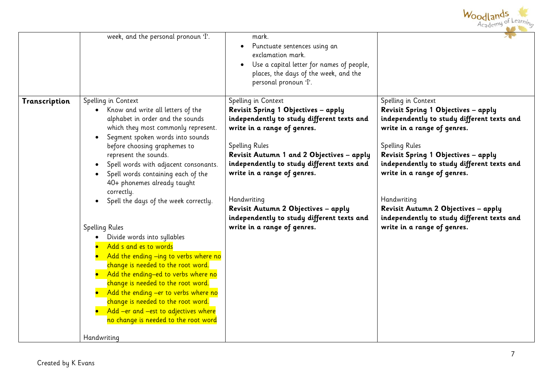

|               | week, and the personal pronoun 'I'.                                                                                                                                                                                                                                                                                                                                                                                                                                                                                                                                                                                                                                                                                                                                                                                           | mark.<br>Punctuate sentences using an<br>$\bullet$<br>exclamation mark.<br>Use a capital letter for names of people,<br>$\bullet$<br>places, the days of the week, and the<br>personal pronoun 'I'.                                                                                                                                                                                                                           |                                                                                                                                                                                                                                                                                                                                                                                                                         |
|---------------|-------------------------------------------------------------------------------------------------------------------------------------------------------------------------------------------------------------------------------------------------------------------------------------------------------------------------------------------------------------------------------------------------------------------------------------------------------------------------------------------------------------------------------------------------------------------------------------------------------------------------------------------------------------------------------------------------------------------------------------------------------------------------------------------------------------------------------|-------------------------------------------------------------------------------------------------------------------------------------------------------------------------------------------------------------------------------------------------------------------------------------------------------------------------------------------------------------------------------------------------------------------------------|-------------------------------------------------------------------------------------------------------------------------------------------------------------------------------------------------------------------------------------------------------------------------------------------------------------------------------------------------------------------------------------------------------------------------|
| Transcription | Spelling in Context<br>Know and write all letters of the<br>alphabet in order and the sounds<br>which they most commonly represent.<br>Segment spoken words into sounds<br>$\bullet$<br>before choosing graphemes to<br>represent the sounds.<br>Spell words with adjacent consonants.<br>Spell words containing each of the<br>40+ phonemes already taught<br>correctly.<br>Spell the days of the week correctly.<br><b>Spelling Rules</b><br>Divide words into syllables<br>Add s and es to words<br>Add the ending –ing to verbs where no<br>change is needed to the root word.<br>Add the ending-ed to verbs where no<br>change is needed to the root word.<br>Add the ending -er to verbs where no<br>change is needed to the root word.<br>Add –er and –est to adjectives where<br>no change is needed to the root word | Spelling in Context<br>Revisit Spring 1 Objectives - apply<br>independently to study different texts and<br>write in a range of genres.<br><b>Spelling Rules</b><br>Revisit Autumn 1 and 2 Objectives - apply<br>independently to study different texts and<br>write in a range of genres.<br>Handwriting<br>Revisit Autumn 2 Objectives - apply<br>independently to study different texts and<br>write in a range of genres. | Spelling in Context<br>Revisit Spring 1 Objectives - apply<br>independently to study different texts and<br>write in a range of genres.<br><b>Spelling Rules</b><br>Revisit Spring 1 Objectives - apply<br>independently to study different texts and<br>write in a range of genres.<br>Handwriting<br>Revisit Autumn 2 Objectives - apply<br>independently to study different texts and<br>write in a range of genres. |
|               | Handwriting                                                                                                                                                                                                                                                                                                                                                                                                                                                                                                                                                                                                                                                                                                                                                                                                                   |                                                                                                                                                                                                                                                                                                                                                                                                                               |                                                                                                                                                                                                                                                                                                                                                                                                                         |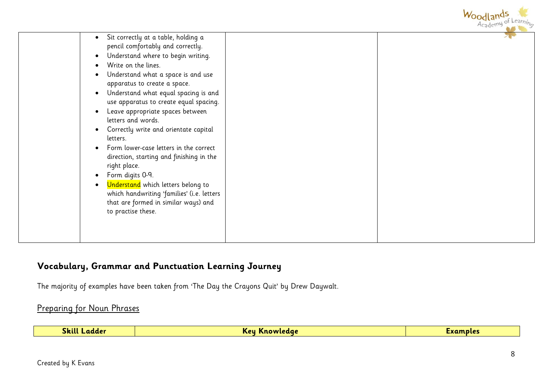|                                                                                                                                                                                                                                                                                                                                                                                                                                                                                                                                                                                                                                                                                                                                      | Woodland of |
|--------------------------------------------------------------------------------------------------------------------------------------------------------------------------------------------------------------------------------------------------------------------------------------------------------------------------------------------------------------------------------------------------------------------------------------------------------------------------------------------------------------------------------------------------------------------------------------------------------------------------------------------------------------------------------------------------------------------------------------|-------------|
| Sit correctly at a table, holding a<br>pencil comfortably and correctly.<br>Understand where to begin writing.<br>$\bullet$<br>Write on the lines.<br>Understand what a space is and use<br>apparatus to create a space.<br>Understand what equal spacing is and<br>$\bullet$<br>use apparatus to create equal spacing.<br>Leave appropriate spaces between<br>letters and words.<br>Correctly write and orientate capital<br>letters.<br>Form lower-case letters in the correct<br>direction, starting and finishing in the<br>right place.<br>Form digits 0-9.<br>٠<br>Understand which letters belong to<br>$\bullet$<br>which handwriting 'families' (i.e. letters<br>that are formed in similar ways) and<br>to practise these. |             |

# **Vocabulary, Grammar and Punctuation Learning Journey**

The majority of examples have been taken from 'The Day the Crayons Quit' by Drew Daywalt.

## Preparing for Noun Phrases

| <b>Skill</b><br>---<br>Ladder<br>nev<br>रगग |  |
|---------------------------------------------|--|
|---------------------------------------------|--|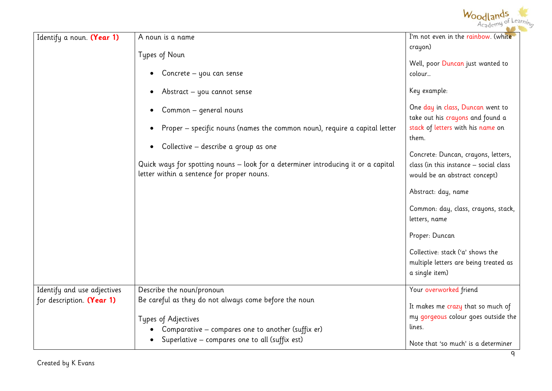

| Identify a noun. (Year 1)                                | A noun is a name<br>Types of Noun<br>Concrete - you can sense<br>Abstract - you cannot sense<br>Common - general nouns<br>Proper – specific nouns (names the common noun), require a capital letter<br>Collective - describe a group as one<br>$\bullet$<br>Quick ways for spotting nouns - look for a determiner introducing it or a capital<br>letter within a sentence for proper nouns. | I'm not even in the rainbow. (white<br>crayon)<br>Well, poor Duncan just wanted to<br>colour<br>Key example:<br>One day in class, Duncan went to<br>take out his crayons and found a<br>stack of letters with his name on<br>them.<br>Concrete: Duncan, crayons, letters,<br>class (in this instance - social class<br>would be an abstract concept)<br>Abstract: day, name<br>Common: day, class, crayons, stack,<br>letters, name<br>Proper: Duncan<br>Collective: stack ('a' shows the<br>multiple letters are being treated as<br>a single item) |
|----------------------------------------------------------|---------------------------------------------------------------------------------------------------------------------------------------------------------------------------------------------------------------------------------------------------------------------------------------------------------------------------------------------------------------------------------------------|------------------------------------------------------------------------------------------------------------------------------------------------------------------------------------------------------------------------------------------------------------------------------------------------------------------------------------------------------------------------------------------------------------------------------------------------------------------------------------------------------------------------------------------------------|
| Identify and use adjectives<br>for description. (Year 1) | Describe the noun/pronoun<br>Be careful as they do not always come before the noun<br>Types of Adjectives<br>Comparative – compares one to another (suffix er)<br>Superlative - compares one to all (suffix est)                                                                                                                                                                            | Your overworked friend<br>It makes me crazy that so much of<br>my gorgeous colour goes outside the<br>lines.<br>Note that 'so much' is a determiner                                                                                                                                                                                                                                                                                                                                                                                                  |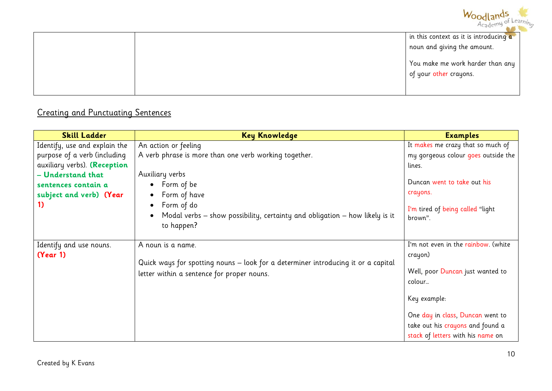

in this context as it is introducing a noun and giving the amount.

You make me work harder than any of your other crayons.

## Creating and Punctuating Sentences

| <b>Skill Ladder</b>           | <b>Key Knowledge</b>                                                              | <b>Examples</b>                     |
|-------------------------------|-----------------------------------------------------------------------------------|-------------------------------------|
| Identify, use and explain the | An action or feeling                                                              | It makes me crazy that so much of   |
| purpose of a verb (including  | A verb phrase is more than one verb working together.                             | my gorgeous colour goes outside the |
| auxiliary verbs). (Reception  |                                                                                   | lines.                              |
| - Understand that             | Auxiliary verbs                                                                   |                                     |
| sentences contain a           | • Form of be                                                                      | Duncan went to take out his         |
| subject and verb) (Year       | Form of have                                                                      | crayons.                            |
| 1)                            | Form of do<br>$\bullet$                                                           | I'm tired of being called "light"   |
|                               | Modal verbs – show possibility, certainty and obligation – how likely is it       | brown".                             |
|                               | to happen?                                                                        |                                     |
|                               |                                                                                   |                                     |
| Identify and use nouns.       | A noun is a name.                                                                 | I'm not even in the rainbow. (white |
| (Year 1)                      |                                                                                   | crayon)                             |
|                               | Quick ways for spotting nouns - look for a determiner introducing it or a capital | Well, poor Duncan just wanted to    |
|                               | letter within a sentence for proper nouns.                                        | colour                              |
|                               |                                                                                   |                                     |
|                               |                                                                                   | Key example:                        |
|                               |                                                                                   | One day in class, Duncan went to    |
|                               |                                                                                   | take out his crayons and found a    |
|                               |                                                                                   |                                     |
|                               |                                                                                   | stack of letters with his name on   |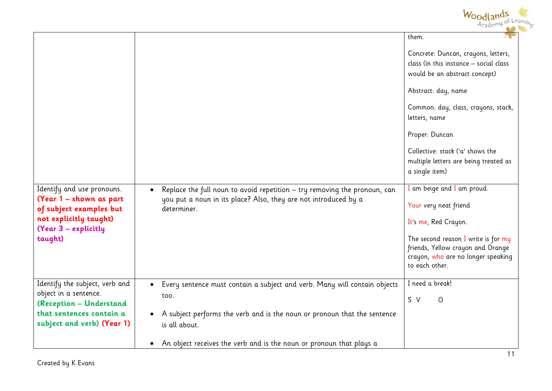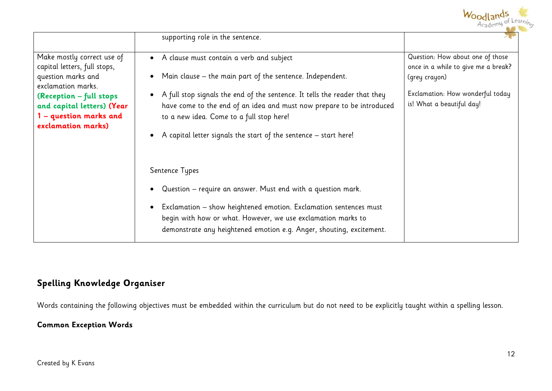

|                                                                                                                                                                                                                 | supporting role in the sentence.                                                                                                                                                                                                                                                                                                                                                                                    |                                                                                                                                                           |
|-----------------------------------------------------------------------------------------------------------------------------------------------------------------------------------------------------------------|---------------------------------------------------------------------------------------------------------------------------------------------------------------------------------------------------------------------------------------------------------------------------------------------------------------------------------------------------------------------------------------------------------------------|-----------------------------------------------------------------------------------------------------------------------------------------------------------|
| Make mostly correct use of<br>capital letters, full stops,<br>question marks and<br>exclamation marks.<br>(Reception – full stops<br>and capital letters) (Year<br>1 - question marks and<br>exclamation marks) | A clause must contain a verb and subject<br>$\bullet$<br>Main clause – the main part of the sentence. Independent.<br>A full stop signals the end of the sentence. It tells the reader that they<br>$\bullet$<br>have come to the end of an idea and must now prepare to be introduced<br>to a new idea. Come to a full stop here!<br>A capital letter signals the start of the sentence - start here!<br>$\bullet$ | Question: How about one of those<br>once in a while to give me a break?<br>(grey crayon)<br>Exclamation: How wonderful today<br>is! What a beautiful day! |
|                                                                                                                                                                                                                 | Sentence Types<br>Question – require an answer. Must end with a question mark.<br>Exclamation - show heightened emotion. Exclamation sentences must<br>$\bullet$<br>begin with how or what. However, we use exclamation marks to<br>demonstrate any heightened emotion e.g. Anger, shouting, excitement.                                                                                                            |                                                                                                                                                           |

### **Spelling Knowledge Organiser**

Words containing the following objectives must be embedded within the curriculum but do not need to be explicitly taught within a spelling lesson.

### **Common Exception Words**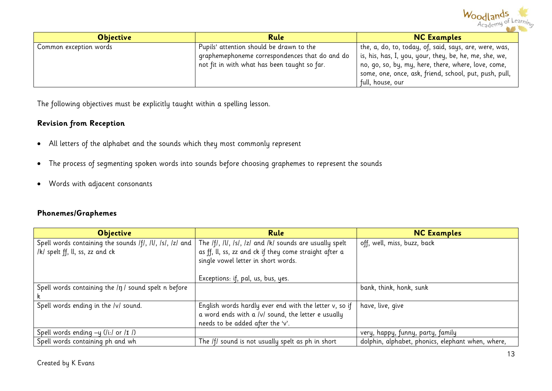

| <b>Objective</b>       | Rule                                                                                                                                         | <b>NC Examples</b>                                                                                                                                                                                                                                      |
|------------------------|----------------------------------------------------------------------------------------------------------------------------------------------|---------------------------------------------------------------------------------------------------------------------------------------------------------------------------------------------------------------------------------------------------------|
| Common exception words | Pupils' attention should be drawn to the<br>graphemephoneme correspondences that do and do "<br>not fit in with what has been taught so far. | the, a, do, to, today, of, said, says, are, were, was,<br>  is, his, has, I, you, your, they, be, he, me, she, we,<br>no, go, so, by, my, here, there, where, love, come,<br>some, one, once, ask, friend, school, put, push, pull,<br>full, house, our |

The following objectives must be explicitly taught within a spelling lesson.

### **Revision from Reception**

- All letters of the alphabet and the sounds which they most commonly represent
- The process of segmenting spoken words into sounds before choosing graphemes to represent the sounds
- Words with adjacent consonants

### **Phonemes/Graphemes**

| <b>Objective</b>                                          | Rule                                                    | <b>NC Examples</b>                                |
|-----------------------------------------------------------|---------------------------------------------------------|---------------------------------------------------|
| Spell words containing the sounds /f/, /l/, /s/, /z/ and  | The /f/, /l/, /s/, /z/ and /k/ sounds are usually spelt | off, well, miss, buzz, back                       |
| /k/ spelt ff, ll, ss, zz and ck                           | as ff, ll, ss, zz and ck if they come straight after a  |                                                   |
|                                                           | single vowel letter in short words.                     |                                                   |
|                                                           |                                                         |                                                   |
|                                                           | Exceptions: if, pal, us, bus, yes.                      |                                                   |
| Spell words containing the $/\eta$ / sound spelt n before |                                                         | bank, think, honk, sunk                           |
|                                                           |                                                         |                                                   |
| Spell words ending in the /v/ sound.                      | English words hardly ever end with the letter v, so if  | have, live, give                                  |
|                                                           | a word ends with a /v/ sound, the letter e usually      |                                                   |
|                                                           | needs to be added after the 'v'.                        |                                                   |
| Spell words ending $-y$ (/i:/ or /I /)                    |                                                         | very, happy, funny, party, family                 |
| Spell words containing ph and wh                          | The /f/ sound is not usually spelt as ph in short       | dolphin, alphabet, phonics, elephant when, where, |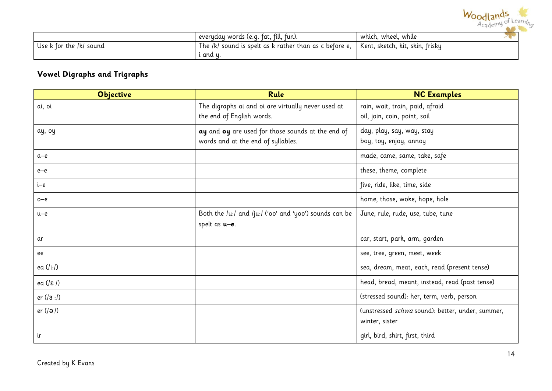|                         |                                                        |                                 | Woodlan |
|-------------------------|--------------------------------------------------------|---------------------------------|---------|
|                         | everyday words (e.g. fat, fill, fun).                  | which, wheel, while             |         |
| Use k for the /k/ sound | The /k/ sound is spelt as k rather than as c before e, | Kent, sketch, kit, skin, frisky |         |
|                         | i and u.                                               |                                 |         |

## **Vowel Digraphs and Trigraphs**

| <b>Objective</b> | Rule                                                                                    | <b>NC Examples</b>                                                 |
|------------------|-----------------------------------------------------------------------------------------|--------------------------------------------------------------------|
| ai, oi           | The digraphs ai and oi are virtually never used at<br>the end of English words.         | rain, wait, train, paid, afraid<br>oil, join, coin, point, soil    |
| ay, oy           | ay and oy are used for those sounds at the end of<br>words and at the end of syllables. | day, play, say, way, stay<br>boy, toy, enjoy, annoy                |
| $a-e$            |                                                                                         | made, came, same, take, safe                                       |
| $e-e$            |                                                                                         | these, theme, complete                                             |
| i—e              |                                                                                         | five, ride, like, time, side                                       |
| $o-e$            |                                                                                         | home, those, woke, hope, hole                                      |
| $u-e$            | Both the /u:/ and /ju:/ ('oo' and 'yoo') sounds can be<br>spelt as <b>u-e</b> .         | June, rule, rude, use, tube, tune                                  |
| ar               |                                                                                         | car, start, park, arm, garden                                      |
| ee               |                                                                                         | see, tree, green, meet, week                                       |
| ea (/i:/)        |                                                                                         | sea, dream, meat, each, read (present tense)                       |
| eα (/ε /)        |                                                                                         | head, bread, meant, instead, read (past tense)                     |
| er $( 3: )$      |                                                                                         | (stressed sound): her, term, verb, person                          |
| er $( \theta )$  |                                                                                         | (unstressed schwa sound): better, under, summer,<br>winter, sister |
| ir               |                                                                                         | girl, bird, shirt, first, third                                    |

 $\frac{1}{2}$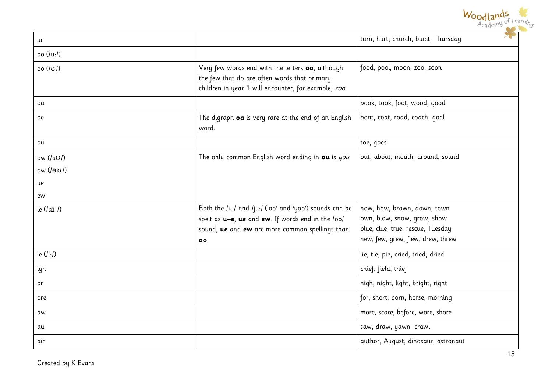|             |                                                                                                                                                         | Woodlands Learning                                         |
|-------------|---------------------------------------------------------------------------------------------------------------------------------------------------------|------------------------------------------------------------|
| ur          |                                                                                                                                                         | turn, hurt, church, burst, Thursday                        |
| oo (/u:/)   |                                                                                                                                                         |                                                            |
| οο (/ʊ/)    | Very few words end with the letters oo, although<br>the few that do are often words that primary<br>children in year 1 will encounter, for example, zoo | food, pool, moon, zoo, soon                                |
| oa          |                                                                                                                                                         | book, took, foot, wood, good                               |
| oe          | The digraph oa is very rare at the end of an English<br>word.                                                                                           | boat, coat, road, coach, goal                              |
| ou          |                                                                                                                                                         | toe, goes                                                  |
| ow (/aʊ/)   | The only common English word ending in ou is you.                                                                                                       | out, about, mouth, around, sound                           |
| ow (/əʊ/)   |                                                                                                                                                         |                                                            |
| ue          |                                                                                                                                                         |                                                            |
| ew          |                                                                                                                                                         |                                                            |
| ie $( aI )$ | Both the /u:/ and /ju:/ ('oo' and 'yoo') sounds can be<br>spelt as <b>u-e</b> , <b>ue</b> and <b>ew</b> . If words end in the /oo/                      | now, how, brown, down, town<br>own, blow, snow, grow, show |
|             | sound, ue and ew are more common spellings than                                                                                                         | blue, clue, true, rescue, Tuesday                          |
|             | 00.                                                                                                                                                     | new, few, grew, flew, drew, threw                          |
| ie (/i:/)   |                                                                                                                                                         | lie, tie, pie, cried, tried, dried                         |
| igh         |                                                                                                                                                         | chief, field, thief                                        |
| or          |                                                                                                                                                         | high, night, light, bright, right                          |
| ore         |                                                                                                                                                         | for, short, born, horse, morning                           |
| αw          |                                                                                                                                                         | more, score, before, wore, shore                           |
| αu          |                                                                                                                                                         | saw, draw, yawn, crawl                                     |
| air         |                                                                                                                                                         | author, August, dinosaur, astronaut                        |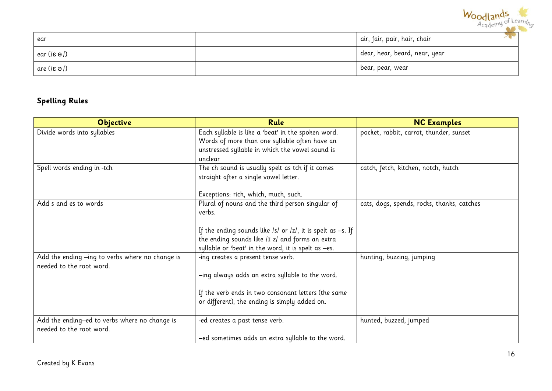|                             | Academy of                    | earning |
|-----------------------------|-------------------------------|---------|
| ear                         | air, fair, pair, hair, chair  |         |
| ear (/ε ə /)                | dear, hear, beard, near, year |         |
| are ( $ \epsilon \Theta $ ) | bear, pear, wear              |         |

# **Spelling Rules**

| <b>Objective</b>                                                            | Rule                                                                                                                                                                                                                                   | <b>NC Examples</b>                         |
|-----------------------------------------------------------------------------|----------------------------------------------------------------------------------------------------------------------------------------------------------------------------------------------------------------------------------------|--------------------------------------------|
| Divide words into syllables                                                 | Each syllable is like a 'beat' in the spoken word.<br>Words of more than one syllable often have an<br>unstressed syllable in which the vowel sound is<br>unclear                                                                      | pocket, rabbit, carrot, thunder, sunset    |
| Spell words ending in -tch                                                  | The ch sound is usually spelt as tch if it comes<br>straight after a single vowel letter.<br>Exceptions: rich, which, much, such.                                                                                                      | catch, fetch, kitchen, notch, hutch        |
| Add s and es to words                                                       | Plural of nouns and the third person singular of<br>verbs.<br>If the ending sounds like /s/ or /z/, it is spelt as $-s$ . If<br>the ending sounds like /I z/ and forms an extra<br>syllable or 'beat' in the word, it is spelt as -es. | cats, dogs, spends, rocks, thanks, catches |
| Add the ending -ing to verbs where no change is<br>needed to the root word. | -ing creates a present tense verb.<br>-ing always adds an extra syllable to the word.<br>If the verb ends in two consonant letters (the same<br>or different), the ending is simply added on.                                          | hunting, buzzing, jumping                  |
| Add the ending-ed to verbs where no change is<br>needed to the root word.   | -ed creates a past tense verb.<br>-ed sometimes adds an extra syllable to the word.                                                                                                                                                    | hunted, buzzed, jumped                     |

 $\Delta\sigma$